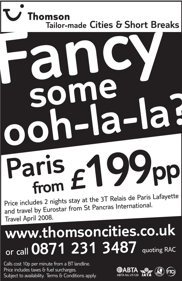### Thomson **Tailor-made Cities & Short Breaks Fancy some**

## **ooh-la-la? Paris from £199pp**

Price includes 2 nights stay at the 3T Relais de Paris Lafayette and travel by Eurostar from St Pancras International. Travel April 2008.

### **www.thomsoncities.co.uk** or call **0871 231 3487** quoting RAC

Calls cost 10p per minute from a BT landline. Price includes taxes & fuel surcharges. Subject to availability. Terms & Conditions apply.

 $\overline{\phantom{a}}$ 

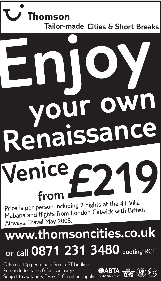#### Thomson **Tailor-made Cities & Short Breaks**

# **to your own Renaissance Enjoy**

### **£219 Venice from**

Price is per person including 2 nights at the 4T Villa Mabapa and flights from London Gatwick with British Airways. Travel May 2008.

### **www.thomsoncities.co.uk** or call **0871 231 3480** quoting RCT

Calls cost 10p per minute from a BT landline. Price includes taxes & fuel surcharges. Subject to availability. Terms & Conditions apply.

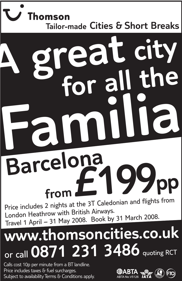### Thomson **Tailor-made Cities & Short Breaks**

### **£199pp from**Price includes 2 nights at the 3T Caledonian and flights from **A great city for all the Familia Barcelona**

London Heathrow with British Airways. Travel 1 April – 31 May 2008. Book by 31 March 2008.

### **www.thomsoncities.co.uk** or call **0871 231 3486** quoting RCT

Calls cost 10p per minute from a BT landline. Price includes taxes & fuel surcharges. Subject to availability Terms & Conditions apply.

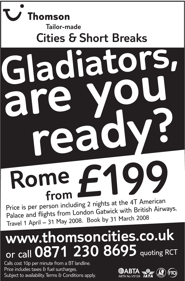### **Thomson Tailor-made Cities & Short BreaksGladiators, are you to ready?**

### **Rome£199 from**

Price is per person including 2 nights at the 4T American Palace and flights from London Gatwick with British Airways. Travel 1 April – 31 May 2008. Book by 31 March 2008

### **www.thomsoncities.co.uk** or call **0871 230 8695** quoting RCT

Calls cost 10p per minute from a BT landline. Price includes taxes & fuel surcharges. Subject to availability. Terms & Conditions apply.